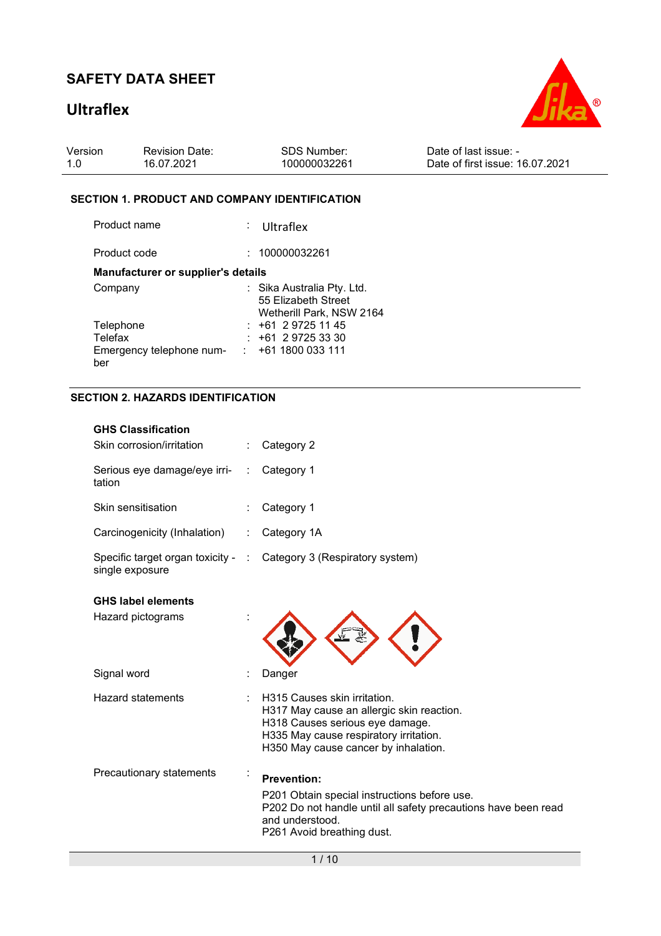# **Ultraflex**



| Version | <b>Revision Date:</b> | SDS Number:  | Date of last issue: -           |
|---------|-----------------------|--------------|---------------------------------|
| 1.0     | 16.07.2021            | 100000032261 | Date of first issue: 16.07.2021 |

#### **SECTION 1. PRODUCT AND COMPANY IDENTIFICATION**

| Product name                       | $:$ Ultraflex                                                                 |
|------------------------------------|-------------------------------------------------------------------------------|
| Product code                       | : 100000032261                                                                |
| Manufacturer or supplier's details |                                                                               |
| Company                            | : Sika Australia Pty. Ltd.<br>55 Elizabeth Street<br>Wetherill Park, NSW 2164 |
| Telephone                          | $: +61297251145$                                                              |
| Telefax                            | +61 2 9725 33 30                                                              |
| Emergency telephone num-<br>ber    | $: +611800033111$                                                             |

#### **SECTION 2. HAZARDS IDENTIFICATION**

| <b>GHS Classification</b><br>Skin corrosion/irritation |                      | Category 2                                                                                                                                                                                     |
|--------------------------------------------------------|----------------------|------------------------------------------------------------------------------------------------------------------------------------------------------------------------------------------------|
| Serious eye damage/eye irri-<br>tation                 | $\ddot{\phantom{a}}$ | Category 1                                                                                                                                                                                     |
| Skin sensitisation                                     |                      | Category 1                                                                                                                                                                                     |
| Carcinogenicity (Inhalation)                           | ÷                    | Category 1A                                                                                                                                                                                    |
| Specific target organ toxicity - :<br>single exposure  |                      | Category 3 (Respiratory system)                                                                                                                                                                |
| <b>GHS label elements</b>                              |                      |                                                                                                                                                                                                |
| Hazard pictograms                                      |                      |                                                                                                                                                                                                |
| Signal word                                            |                      | Danger                                                                                                                                                                                         |
| <b>Hazard statements</b>                               |                      | H315 Causes skin irritation.<br>H317 May cause an allergic skin reaction.<br>H318 Causes serious eye damage.<br>H335 May cause respiratory irritation.<br>H350 May cause cancer by inhalation. |
| Precautionary statements                               |                      | <b>Prevention:</b><br>P201 Obtain special instructions before use.<br>P202 Do not handle until all safety precautions have been read<br>and understood.<br>P261 Avoid breathing dust.          |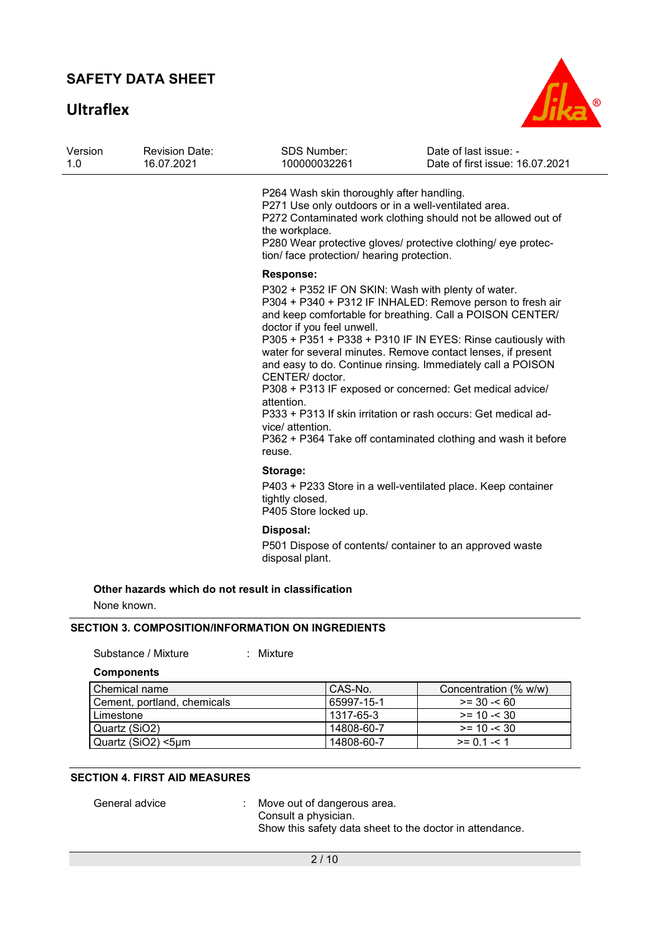**Ultraflex**



| 1.0 | <b>Revision Date:</b><br>16.07.2021 | <b>SDS Number:</b><br>100000032261                                                                                                                                | Date of last issue: -<br>Date of first issue: 16.07.2021                                                                                                                                                                                                                                                                                                                                                                                                                                                                                                                  |
|-----|-------------------------------------|-------------------------------------------------------------------------------------------------------------------------------------------------------------------|---------------------------------------------------------------------------------------------------------------------------------------------------------------------------------------------------------------------------------------------------------------------------------------------------------------------------------------------------------------------------------------------------------------------------------------------------------------------------------------------------------------------------------------------------------------------------|
|     |                                     | P264 Wash skin thoroughly after handling.<br>P271 Use only outdoors or in a well-ventilated area.<br>the workplace.<br>tion/ face protection/ hearing protection. | P272 Contaminated work clothing should not be allowed out of<br>P280 Wear protective gloves/ protective clothing/ eye protec-                                                                                                                                                                                                                                                                                                                                                                                                                                             |
|     |                                     | <b>Response:</b><br>doctor if you feel unwell.<br>CENTER/ doctor.<br>attention.<br>vice/ attention.<br>reuse.                                                     | P302 + P352 IF ON SKIN: Wash with plenty of water.<br>P304 + P340 + P312 IF INHALED: Remove person to fresh air<br>and keep comfortable for breathing. Call a POISON CENTER/<br>P305 + P351 + P338 + P310 IF IN EYES: Rinse cautiously with<br>water for several minutes. Remove contact lenses, if present<br>and easy to do. Continue rinsing. Immediately call a POISON<br>P308 + P313 IF exposed or concerned: Get medical advice/<br>P333 + P313 If skin irritation or rash occurs: Get medical ad-<br>P362 + P364 Take off contaminated clothing and wash it before |
|     |                                     | Storage:                                                                                                                                                          |                                                                                                                                                                                                                                                                                                                                                                                                                                                                                                                                                                           |
|     |                                     | tightly closed.<br>P405 Store locked up.                                                                                                                          | P403 + P233 Store in a well-ventilated place. Keep container                                                                                                                                                                                                                                                                                                                                                                                                                                                                                                              |
|     |                                     | Disposal:<br>disposal plant.                                                                                                                                      | P501 Dispose of contents/ container to an approved waste                                                                                                                                                                                                                                                                                                                                                                                                                                                                                                                  |

#### **SECTION 3. COMPOSITION/INFORMATION ON INGREDIENTS**

Substance / Mixture : Mixture

**Components** 

| l Chemical name             | CAS-No.    | Concentration (% w/w) |
|-----------------------------|------------|-----------------------|
| Cement, portland, chemicals | 65997-15-1 | $>= 30 - 60$          |
| Limestone                   | 1317-65-3  | $>= 10 - 30$          |
| Quartz (SiO2)               | 14808-60-7 | $>= 10 - 30$          |
| Quartz (SiO2) <5µm          | 14808-60-7 | $>= 0.1 - 1.1$        |

#### **SECTION 4. FIRST AID MEASURES**

General advice : Move out of dangerous area. Consult a physician. Show this safety data sheet to the doctor in attendance.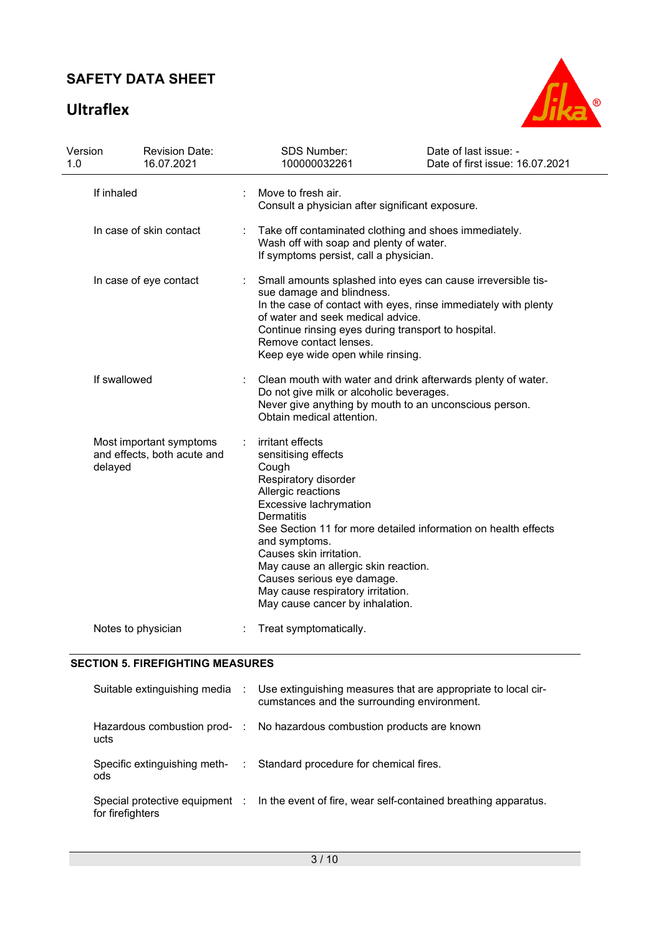# **Ultraflex**



| Version<br>1.0 | <b>Revision Date:</b><br>16.07.2021                               |                                                                                                                                                                                                                                                                                                                                                                                                                | SDS Number:<br>100000032261                                                                                                                                                                                                                                                                                             | Date of last issue: -<br>Date of first issue: 16.07.2021                                                               |  |  |
|----------------|-------------------------------------------------------------------|----------------------------------------------------------------------------------------------------------------------------------------------------------------------------------------------------------------------------------------------------------------------------------------------------------------------------------------------------------------------------------------------------------------|-------------------------------------------------------------------------------------------------------------------------------------------------------------------------------------------------------------------------------------------------------------------------------------------------------------------------|------------------------------------------------------------------------------------------------------------------------|--|--|
|                | If inhaled                                                        |                                                                                                                                                                                                                                                                                                                                                                                                                | Move to fresh air.<br>Consult a physician after significant exposure.                                                                                                                                                                                                                                                   |                                                                                                                        |  |  |
|                | In case of skin contact                                           |                                                                                                                                                                                                                                                                                                                                                                                                                | Take off contaminated clothing and shoes immediately.<br>Wash off with soap and plenty of water.<br>If symptoms persist, call a physician.                                                                                                                                                                              |                                                                                                                        |  |  |
|                | In case of eye contact                                            |                                                                                                                                                                                                                                                                                                                                                                                                                | Small amounts splashed into eyes can cause irreversible tis-<br>sue damage and blindness.<br>In the case of contact with eyes, rinse immediately with plenty<br>of water and seek medical advice.<br>Continue rinsing eyes during transport to hospital.<br>Remove contact lenses.<br>Keep eye wide open while rinsing. |                                                                                                                        |  |  |
|                | If swallowed                                                      |                                                                                                                                                                                                                                                                                                                                                                                                                | Do not give milk or alcoholic beverages.<br>Obtain medical attention.                                                                                                                                                                                                                                                   | Clean mouth with water and drink afterwards plenty of water.<br>Never give anything by mouth to an unconscious person. |  |  |
|                | Most important symptoms<br>and effects, both acute and<br>delayed | irritant effects<br>÷<br>sensitising effects<br>Cough<br>Respiratory disorder<br>Allergic reactions<br>Excessive lachrymation<br><b>Dermatitis</b><br>See Section 11 for more detailed information on health effects<br>and symptoms.<br>Causes skin irritation.<br>May cause an allergic skin reaction.<br>Causes serious eye damage.<br>May cause respiratory irritation.<br>May cause cancer by inhalation. |                                                                                                                                                                                                                                                                                                                         |                                                                                                                        |  |  |
|                | Notes to physician                                                |                                                                                                                                                                                                                                                                                                                                                                                                                | Treat symptomatically.                                                                                                                                                                                                                                                                                                  |                                                                                                                        |  |  |

#### **SECTION 5. FIREFIGHTING MEASURES**

|                  | Suitable extinguishing media : Use extinguishing measures that are appropriate to local cir-<br>cumstances and the surrounding environment. |
|------------------|---------------------------------------------------------------------------------------------------------------------------------------------|
| ucts             | Hazardous combustion prod- : No hazardous combustion products are known                                                                     |
| ods              | Specific extinguishing meth- : Standard procedure for chemical fires.                                                                       |
| for firefighters | Special protective equipment : In the event of fire, wear self-contained breathing apparatus.                                               |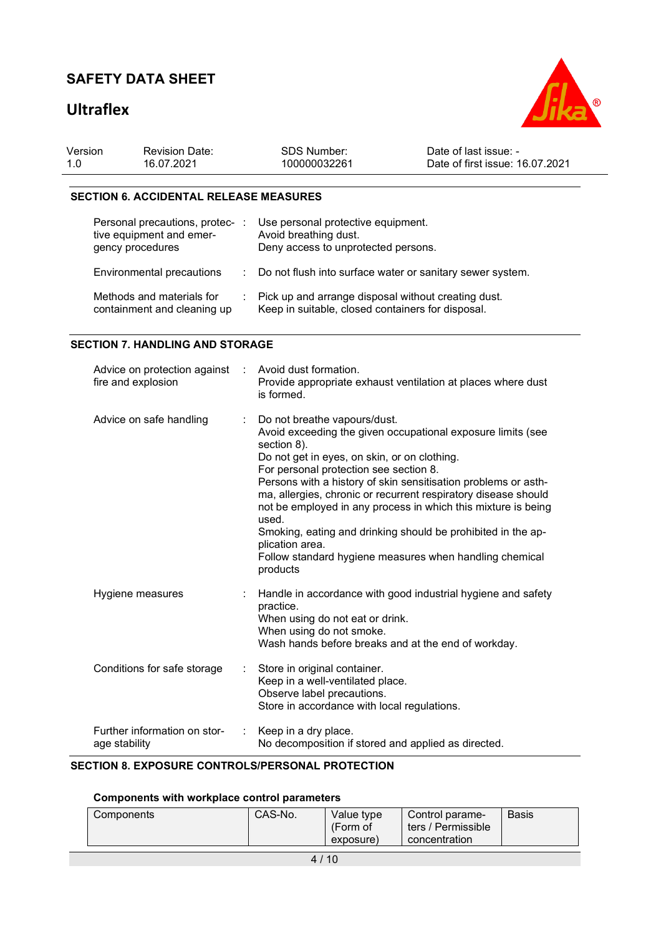### **Ultraflex**



| Version | <b>Revision Date:</b> | <b>SDS Number:</b> | Date of last issue: -           |
|---------|-----------------------|--------------------|---------------------------------|
| 1.0     | 16.07.2021            | 100000032261       | Date of first issue: 16.07.2021 |

#### **SECTION 6. ACCIDENTAL RELEASE MEASURES**

| Personal precautions, protec-<br>tive equipment and emer-<br>gency procedures | Use personal protective equipment.<br>Avoid breathing dust.<br>Deny access to unprotected persons.       |
|-------------------------------------------------------------------------------|----------------------------------------------------------------------------------------------------------|
| Environmental precautions                                                     | : Do not flush into surface water or sanitary sewer system.                                              |
| Methods and materials for<br>containment and cleaning up                      | Pick up and arrange disposal without creating dust.<br>Keep in suitable, closed containers for disposal. |

#### **SECTION 7. HANDLING AND STORAGE**

| Advice on protection against<br>fire and explosion | ÷ | Avoid dust formation.<br>Provide appropriate exhaust ventilation at places where dust<br>is formed.                                                                                                                                                                                                                                                                                                                                                                                                                                                                          |
|----------------------------------------------------|---|------------------------------------------------------------------------------------------------------------------------------------------------------------------------------------------------------------------------------------------------------------------------------------------------------------------------------------------------------------------------------------------------------------------------------------------------------------------------------------------------------------------------------------------------------------------------------|
| Advice on safe handling                            |   | Do not breathe vapours/dust.<br>Avoid exceeding the given occupational exposure limits (see<br>section 8).<br>Do not get in eyes, on skin, or on clothing.<br>For personal protection see section 8.<br>Persons with a history of skin sensitisation problems or asth-<br>ma, allergies, chronic or recurrent respiratory disease should<br>not be employed in any process in which this mixture is being<br>used.<br>Smoking, eating and drinking should be prohibited in the ap-<br>plication area.<br>Follow standard hygiene measures when handling chemical<br>products |
| Hygiene measures                                   |   | Handle in accordance with good industrial hygiene and safety<br>practice.<br>When using do not eat or drink.<br>When using do not smoke.<br>Wash hands before breaks and at the end of workday.                                                                                                                                                                                                                                                                                                                                                                              |
| Conditions for safe storage                        |   | Store in original container.<br>Keep in a well-ventilated place.<br>Observe label precautions.<br>Store in accordance with local regulations.                                                                                                                                                                                                                                                                                                                                                                                                                                |
| Further information on stor-<br>age stability      |   | Keep in a dry place.<br>No decomposition if stored and applied as directed.                                                                                                                                                                                                                                                                                                                                                                                                                                                                                                  |

#### **SECTION 8. EXPOSURE CONTROLS/PERSONAL PROTECTION**

### **Components with workplace control parameters**

| Components | CAS-No. | Value type<br>(Form of<br>exposure) | l Control parame-<br>ters / Permissible<br>concentration | <b>Basis</b> |
|------------|---------|-------------------------------------|----------------------------------------------------------|--------------|
|            |         |                                     |                                                          |              |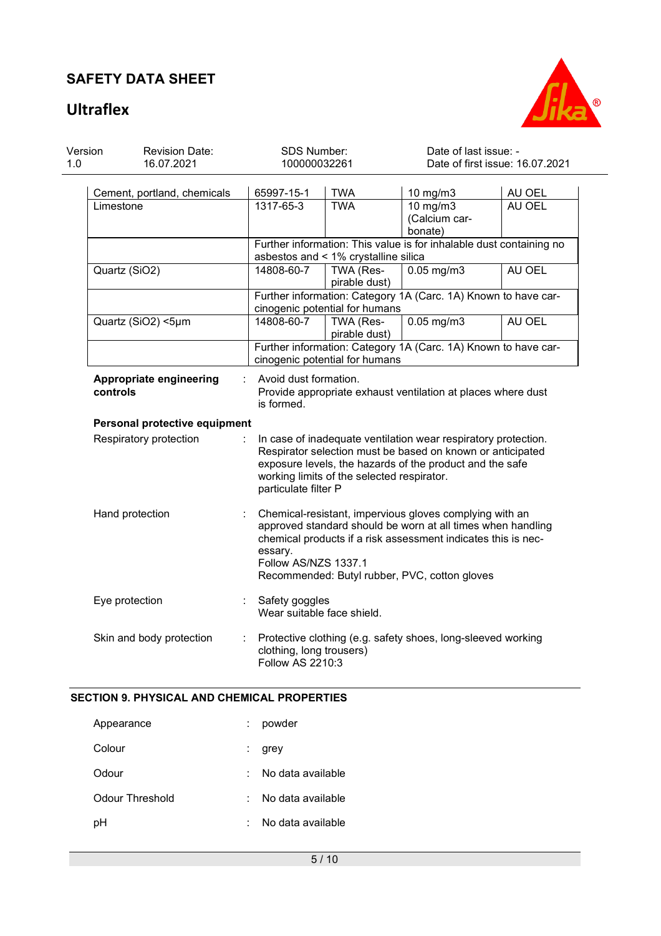## **Ultraflex**



| 1.0                                                                                                                                                                                                                                                                                      | Version<br><b>Revision Date:</b><br>16.07.2021 |                               | SDS Number:<br>100000032261                                                                                                                                                                                                                                                 |                                      | Date of last issue: -<br>Date of first issue: 16.07.2021                       |                  |  |  |
|------------------------------------------------------------------------------------------------------------------------------------------------------------------------------------------------------------------------------------------------------------------------------------------|------------------------------------------------|-------------------------------|-----------------------------------------------------------------------------------------------------------------------------------------------------------------------------------------------------------------------------------------------------------------------------|--------------------------------------|--------------------------------------------------------------------------------|------------------|--|--|
|                                                                                                                                                                                                                                                                                          | Limestone                                      | Cement, portland, chemicals   | 65997-15-1<br>1317-65-3                                                                                                                                                                                                                                                     | <b>TWA</b><br><b>TWA</b>             | 10 mg/m3<br>$10 \text{ mg/m}$<br>(Calcium car-                                 | AU OEL<br>AU OEL |  |  |
|                                                                                                                                                                                                                                                                                          |                                                |                               |                                                                                                                                                                                                                                                                             | asbestos and < 1% crystalline silica | bonate)<br>Further information: This value is for inhalable dust containing no |                  |  |  |
|                                                                                                                                                                                                                                                                                          | Quartz (SiO2)                                  |                               | 14808-60-7                                                                                                                                                                                                                                                                  | TWA (Res-<br>pirable dust)           | $0.05$ mg/m3                                                                   | AU OEL           |  |  |
|                                                                                                                                                                                                                                                                                          |                                                |                               |                                                                                                                                                                                                                                                                             | cinogenic potential for humans       | Further information: Category 1A (Carc. 1A) Known to have car-                 |                  |  |  |
|                                                                                                                                                                                                                                                                                          | Quartz (SiO2) <5µm                             |                               | 14808-60-7                                                                                                                                                                                                                                                                  | TWA (Res-<br>pirable dust)           | $0.05$ mg/m3                                                                   | AU OEL           |  |  |
|                                                                                                                                                                                                                                                                                          |                                                |                               |                                                                                                                                                                                                                                                                             | cinogenic potential for humans       | Further information: Category 1A (Carc. 1A) Known to have car-                 |                  |  |  |
|                                                                                                                                                                                                                                                                                          | Appropriate engineering<br>controls            |                               | Avoid dust formation.<br>Provide appropriate exhaust ventilation at places where dust<br>is formed.                                                                                                                                                                         |                                      |                                                                                |                  |  |  |
|                                                                                                                                                                                                                                                                                          |                                                | Personal protective equipment |                                                                                                                                                                                                                                                                             |                                      |                                                                                |                  |  |  |
| Respiratory protection<br>In case of inadequate ventilation wear respiratory protection.<br>Respirator selection must be based on known or anticipated<br>exposure levels, the hazards of the product and the safe<br>working limits of the selected respirator.<br>particulate filter P |                                                |                               |                                                                                                                                                                                                                                                                             |                                      |                                                                                |                  |  |  |
|                                                                                                                                                                                                                                                                                          | Hand protection                                |                               | Chemical-resistant, impervious gloves complying with an<br>approved standard should be worn at all times when handling<br>chemical products if a risk assessment indicates this is nec-<br>essary.<br>Follow AS/NZS 1337.1<br>Recommended: Butyl rubber, PVC, cotton gloves |                                      |                                                                                |                  |  |  |
|                                                                                                                                                                                                                                                                                          | Eye protection                                 |                               | Safety goggles<br>Wear suitable face shield.                                                                                                                                                                                                                                |                                      |                                                                                |                  |  |  |
|                                                                                                                                                                                                                                                                                          | Skin and body protection<br>÷                  |                               | Protective clothing (e.g. safety shoes, long-sleeved working<br>clothing, long trousers)<br>Follow AS 2210:3                                                                                                                                                                |                                      |                                                                                |                  |  |  |

#### **SECTION 9. PHYSICAL AND CHEMICAL PROPERTIES**

| Appearance      | powder            |
|-----------------|-------------------|
| Colour          | grey              |
| Odour           | No data available |
| Odour Threshold | No data available |
| рH              | No data available |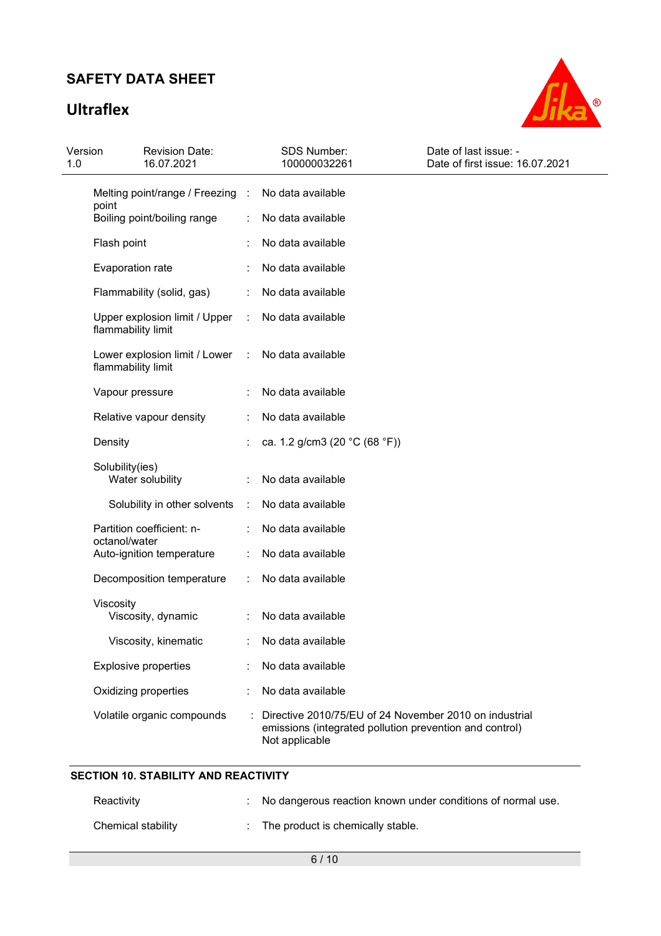# **Ultraflex**



| Version<br>1.0 | <b>Revision Date:</b><br>16.07.2021                 |                      | <b>SDS Number:</b><br>100000032261                                                                                                  | Date of last issue: -<br>Date of first issue: 16.07.2021 |
|----------------|-----------------------------------------------------|----------------------|-------------------------------------------------------------------------------------------------------------------------------------|----------------------------------------------------------|
|                | Melting point/range / Freezing :                    |                      | No data available                                                                                                                   |                                                          |
|                | point<br>Boiling point/boiling range                |                      | No data available                                                                                                                   |                                                          |
|                | Flash point                                         |                      | No data available                                                                                                                   |                                                          |
|                | Evaporation rate                                    |                      | No data available                                                                                                                   |                                                          |
|                | Flammability (solid, gas)                           |                      | No data available                                                                                                                   |                                                          |
|                | Upper explosion limit / Upper<br>flammability limit | ÷                    | No data available                                                                                                                   |                                                          |
|                | Lower explosion limit / Lower<br>flammability limit | $\ddot{\phantom{a}}$ | No data available                                                                                                                   |                                                          |
|                | Vapour pressure                                     |                      | No data available                                                                                                                   |                                                          |
|                | Relative vapour density                             |                      | No data available                                                                                                                   |                                                          |
|                | Density                                             |                      | ca. 1.2 g/cm3 (20 °C (68 °F))                                                                                                       |                                                          |
|                | Solubility(ies)<br>Water solubility                 |                      | No data available                                                                                                                   |                                                          |
|                | Solubility in other solvents                        | ÷                    | No data available                                                                                                                   |                                                          |
|                |                                                     |                      |                                                                                                                                     |                                                          |
|                | Partition coefficient: n-<br>octanol/water          |                      | No data available                                                                                                                   |                                                          |
|                | Auto-ignition temperature                           |                      | No data available                                                                                                                   |                                                          |
|                | Decomposition temperature                           | ÷                    | No data available                                                                                                                   |                                                          |
|                | Viscosity<br>Viscosity, dynamic                     |                      | No data available                                                                                                                   |                                                          |
|                | Viscosity, kinematic                                |                      | No data available                                                                                                                   |                                                          |
|                | <b>Explosive properties</b>                         |                      | No data available                                                                                                                   |                                                          |
|                | Oxidizing properties                                |                      | No data available                                                                                                                   |                                                          |
|                | Volatile organic compounds                          |                      | Directive 2010/75/EU of 24 November 2010 on industrial<br>emissions (integrated pollution prevention and control)<br>Not applicable |                                                          |

### **SECTION 10. STABILITY AND REACTIVITY**

| Reactivity         | : No dangerous reaction known under conditions of normal use. |
|--------------------|---------------------------------------------------------------|
| Chemical stability | The product is chemically stable.                             |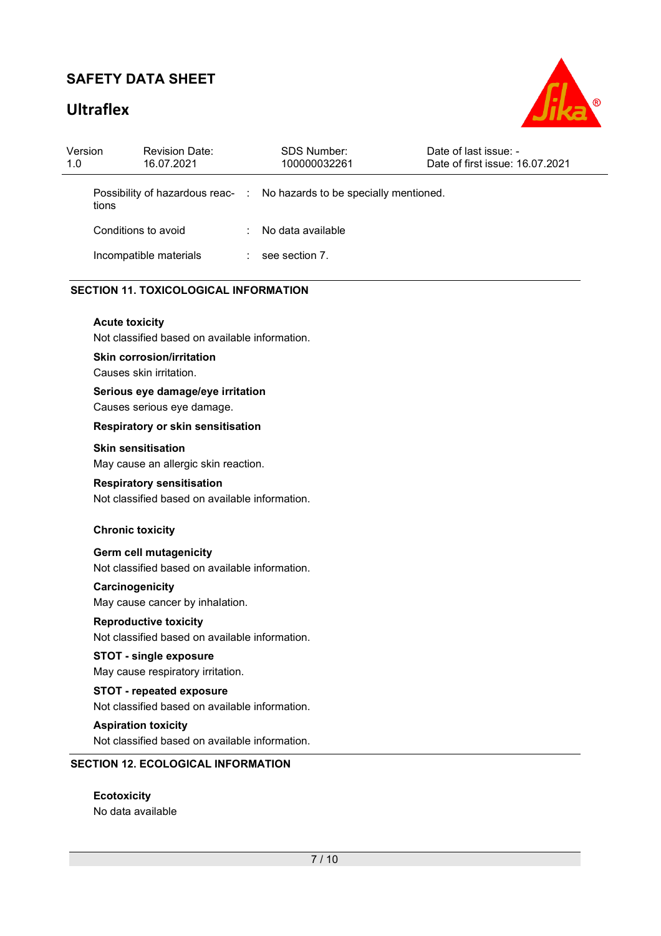# **Ultraflex**



| Version<br>1.0 | <b>Revision Date:</b><br>16.07.2021                                                                         |                           | <b>SDS Number:</b><br>100000032261    | Date of last issue: -<br>Date of first issue: 16.07.2021 |
|----------------|-------------------------------------------------------------------------------------------------------------|---------------------------|---------------------------------------|----------------------------------------------------------|
|                | Possibility of hazardous reac-<br>tions                                                                     | $\mathbb{R}$              | No hazards to be specially mentioned. |                                                          |
|                | Conditions to avoid                                                                                         |                           | No data available                     |                                                          |
|                | Incompatible materials                                                                                      | $\mathbb{R}^{\mathbb{Z}}$ | see section 7.                        |                                                          |
|                | <b>SECTION 11. TOXICOLOGICAL INFORMATION</b>                                                                |                           |                                       |                                                          |
|                | <b>Acute toxicity</b><br>Not classified based on available information.<br><b>Skin corrosion/irritation</b> |                           |                                       |                                                          |
|                | Causes skin irritation.<br>Serious eye damage/eye irritation<br>Causes serious eye damage.                  |                           |                                       |                                                          |
|                | Respiratory or skin sensitisation                                                                           |                           |                                       |                                                          |
|                | <b>Skin sensitisation</b><br>May cause an allergic skin reaction.                                           |                           |                                       |                                                          |
|                | <b>Respiratory sensitisation</b><br>Not classified based on available information.                          |                           |                                       |                                                          |
|                | <b>Chronic toxicity</b>                                                                                     |                           |                                       |                                                          |
|                | Germ cell mutagenicity<br>Not classified based on available information.                                    |                           |                                       |                                                          |
|                | Carcinogenicity                                                                                             |                           |                                       |                                                          |
|                | May cause cancer by inhalation.                                                                             |                           |                                       |                                                          |
|                | <b>Reproductive toxicity</b><br>Not classified based on available information.                              |                           |                                       |                                                          |
|                | <b>STOT - single exposure</b><br>May cause respiratory irritation.                                          |                           |                                       |                                                          |
|                | <b>STOT - repeated exposure</b><br>Not classified based on available information.                           |                           |                                       |                                                          |
|                | <b>Aspiration toxicity</b><br>Not classified based on available information.                                |                           |                                       |                                                          |
|                | <b>SECTION 12. ECOLOGICAL INFORMATION</b>                                                                   |                           |                                       |                                                          |

**Ecotoxicity**  No data available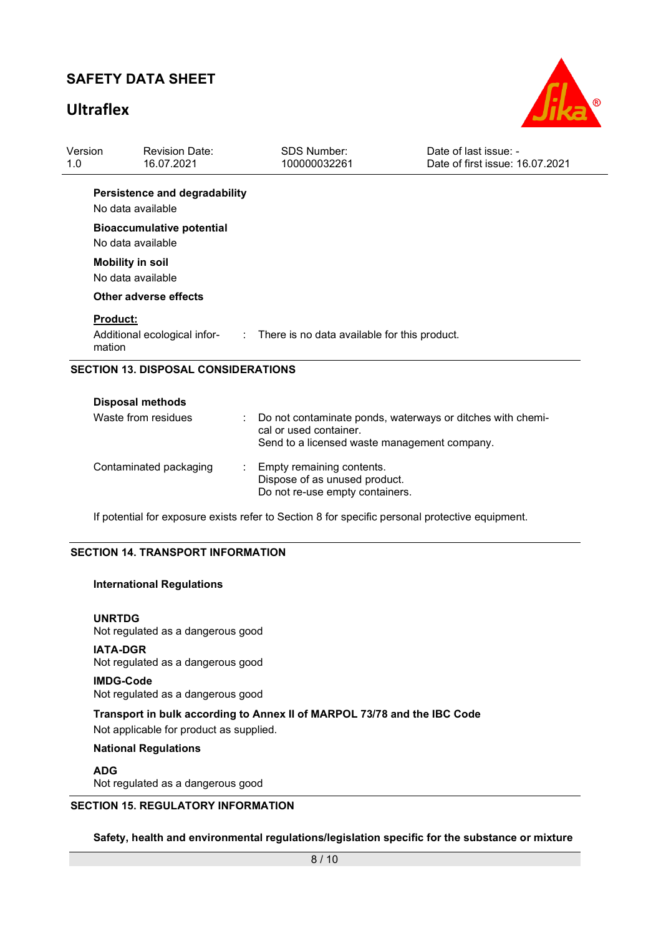### **Ultraflex**



| Version<br>1.0                             | <b>Revision Date:</b><br>16.07.2021                       | <b>SDS Number:</b><br>100000032261                                                                                                   | Date of last issue: -<br>Date of first issue: 16.07.2021 |  |  |
|--------------------------------------------|-----------------------------------------------------------|--------------------------------------------------------------------------------------------------------------------------------------|----------------------------------------------------------|--|--|
|                                            | Persistence and degradability<br>No data available        |                                                                                                                                      |                                                          |  |  |
|                                            | <b>Bioaccumulative potential</b><br>No data available     |                                                                                                                                      |                                                          |  |  |
|                                            | <b>Mobility in soil</b><br>No data available              |                                                                                                                                      |                                                          |  |  |
|                                            | Other adverse effects                                     |                                                                                                                                      |                                                          |  |  |
|                                            | <b>Product:</b><br>Additional ecological infor-<br>mation | : There is no data available for this product.                                                                                       |                                                          |  |  |
| <b>SECTION 13. DISPOSAL CONSIDERATIONS</b> |                                                           |                                                                                                                                      |                                                          |  |  |
|                                            | <b>Disposal methods</b><br>Waste from residues            | Do not contaminate ponds, waterways or ditches with chemi-<br>cal or used container.<br>Send to a licensed waste management company. |                                                          |  |  |

| Contaminated packaging | : Empty remaining contents.     |
|------------------------|---------------------------------|
|                        | Dispose of as unused product.   |
|                        | Do not re-use empty containers. |

If potential for exposure exists refer to Section 8 for specific personal protective equipment.

#### **SECTION 14. TRANSPORT INFORMATION**

#### **International Regulations**

**UNRTDG** Not regulated as a dangerous good

**IATA-DGR** Not regulated as a dangerous good

#### **IMDG-Code**

Not regulated as a dangerous good

**Transport in bulk according to Annex II of MARPOL 73/78 and the IBC Code**  Not applicable for product as supplied.

**National Regulations** 

**ADG** Not regulated as a dangerous good

#### **SECTION 15. REGULATORY INFORMATION**

**Safety, health and environmental regulations/legislation specific for the substance or mixture**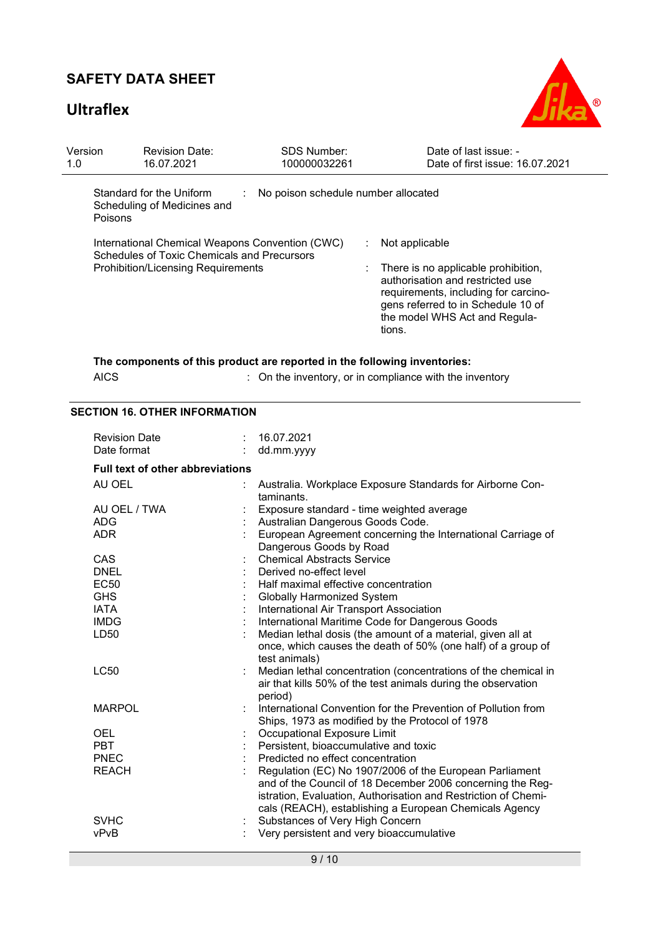# **Ultraflex**



| Version<br>1.0 | <b>Revision Date:</b><br>16.07.2021                          | <b>SDS Number:</b><br>100000032261                                                                                         | Date of last issue: -<br>Date of first issue: 16.07.2021                                                                                                                                                                                          |  |
|----------------|--------------------------------------------------------------|----------------------------------------------------------------------------------------------------------------------------|---------------------------------------------------------------------------------------------------------------------------------------------------------------------------------------------------------------------------------------------------|--|
| Poisons        | Standard for the Uniform<br>Scheduling of Medicines and      | No poison schedule number allocated<br>÷                                                                                   |                                                                                                                                                                                                                                                   |  |
|                | Schedules of Toxic Chemicals and Precursors                  | International Chemical Weapons Convention (CWC)                                                                            | Not applicable                                                                                                                                                                                                                                    |  |
|                | <b>Prohibition/Licensing Requirements</b>                    |                                                                                                                            | There is no applicable prohibition,<br>authorisation and restricted use<br>requirements, including for carcino-<br>gens referred to in Schedule 10 of<br>the model WHS Act and Regula-<br>tions.                                                  |  |
|                |                                                              | The components of this product are reported in the following inventories:                                                  |                                                                                                                                                                                                                                                   |  |
| <b>AICS</b>    |                                                              |                                                                                                                            | : On the inventory, or in compliance with the inventory                                                                                                                                                                                           |  |
|                | <b>SECTION 16. OTHER INFORMATION</b><br><b>Revision Date</b> | 16.07.2021<br>÷                                                                                                            |                                                                                                                                                                                                                                                   |  |
|                | Date format                                                  | dd.mm.yyyy                                                                                                                 |                                                                                                                                                                                                                                                   |  |
|                | <b>Full text of other abbreviations</b>                      |                                                                                                                            |                                                                                                                                                                                                                                                   |  |
| AU OEL         |                                                              |                                                                                                                            | Australia. Workplace Exposure Standards for Airborne Con-                                                                                                                                                                                         |  |
|                |                                                              | taminants.                                                                                                                 |                                                                                                                                                                                                                                                   |  |
| <b>ADG</b>     | AU OEL / TWA                                                 |                                                                                                                            | Exposure standard - time weighted average                                                                                                                                                                                                         |  |
| <b>ADR</b>     |                                                              | Australian Dangerous Goods Code.<br>European Agreement concerning the International Carriage of<br>Dangerous Goods by Road |                                                                                                                                                                                                                                                   |  |
| <b>CAS</b>     |                                                              | <b>Chemical Abstracts Service</b>                                                                                          |                                                                                                                                                                                                                                                   |  |
| <b>DNEL</b>    |                                                              | Derived no-effect level                                                                                                    |                                                                                                                                                                                                                                                   |  |
| <b>EC50</b>    |                                                              | Half maximal effective concentration                                                                                       |                                                                                                                                                                                                                                                   |  |
| <b>GHS</b>     |                                                              | <b>Globally Harmonized System</b>                                                                                          |                                                                                                                                                                                                                                                   |  |
| <b>IATA</b>    |                                                              | International Air Transport Association                                                                                    |                                                                                                                                                                                                                                                   |  |
| <b>IMDG</b>    |                                                              |                                                                                                                            | International Maritime Code for Dangerous Goods                                                                                                                                                                                                   |  |
| LD50           |                                                              | test animals)                                                                                                              | Median lethal dosis (the amount of a material, given all at<br>once, which causes the death of 50% (one half) of a group of                                                                                                                       |  |
| <b>LC50</b>    |                                                              | period)                                                                                                                    | Median lethal concentration (concentrations of the chemical in<br>air that kills 50% of the test animals during the observation                                                                                                                   |  |
| <b>MARPOL</b>  |                                                              |                                                                                                                            | International Convention for the Prevention of Pollution from<br>Ships, 1973 as modified by the Protocol of 1978                                                                                                                                  |  |
| <b>OEL</b>     |                                                              | Occupational Exposure Limit                                                                                                |                                                                                                                                                                                                                                                   |  |
| <b>PBT</b>     |                                                              | Persistent, bioaccumulative and toxic                                                                                      |                                                                                                                                                                                                                                                   |  |
| <b>PNEC</b>    |                                                              | Predicted no effect concentration                                                                                          |                                                                                                                                                                                                                                                   |  |
| <b>REACH</b>   |                                                              |                                                                                                                            | Regulation (EC) No 1907/2006 of the European Parliament<br>and of the Council of 18 December 2006 concerning the Reg-<br>istration, Evaluation, Authorisation and Restriction of Chemi-<br>cals (REACH), establishing a European Chemicals Agency |  |
| <b>SVHC</b>    |                                                              | Substances of Very High Concern                                                                                            |                                                                                                                                                                                                                                                   |  |
| vPvB           |                                                              | Very persistent and very bioaccumulative                                                                                   |                                                                                                                                                                                                                                                   |  |
|                |                                                              |                                                                                                                            |                                                                                                                                                                                                                                                   |  |